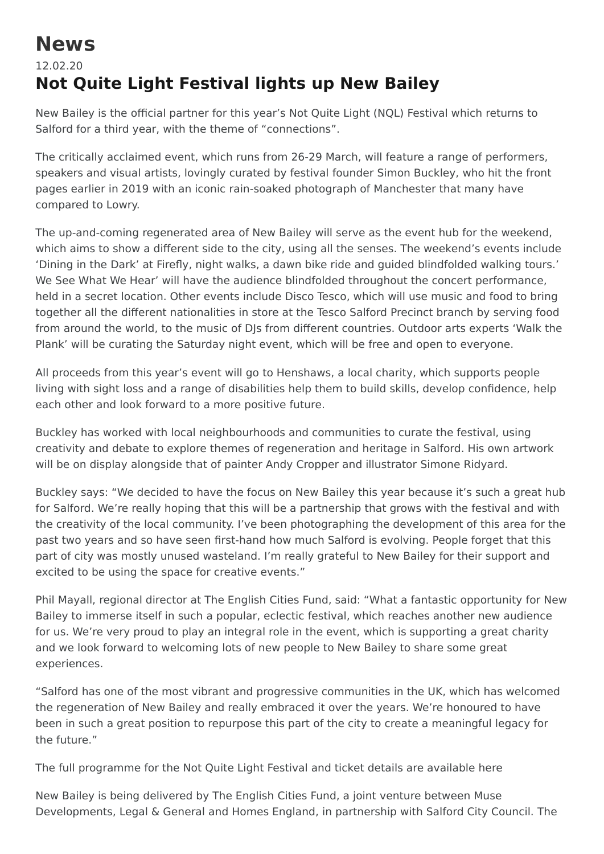## **News**

## 12.02.20 **Not Quite Light Festival lights up New Bailey**

New Bailey is the official partner for this year's Not Quite Light (NQL) Festival which returns to Salford for a third year, with the theme of "connections".

The critically acclaimed event, which runs from 26-29 March, will feature a range of performers, speakers and visual artists, lovingly curated by festival founder Simon Buckley, who hit the front pages earlier in 2019 with an iconic rain-soaked photograph of Manchester that many have compared to Lowry.

The up-and-coming regenerated area of New Bailey will serve as the event hub for the weekend, which aims to show a different side to the city, using all the senses. The weekend's events include 'Dining in the Dark' at Firefly, night walks, a dawn bike ride and guided blindfolded walking tours.' We See What We Hear' will have the audience blindfolded throughout the concert performance, held in a secret location. Other events include Disco Tesco, which will use music and food to bring together all the different nationalities in store at the Tesco Salford Precinct branch by serving food from around the world, to the music of DJs from different countries. Outdoor arts experts 'Walk the Plank' will be curating the Saturday night event, which will be free and open to everyone.

All proceeds from this year's event will go to Henshaws, a local charity, which supports people living with sight loss and a range of disabilities help them to build skills, develop confidence, help each other and look forward to a more positive future.

Buckley has worked with local neighbourhoods and communities to curate the festival, using creativity and debate to explore themes of regeneration and heritage in Salford. His own artwork will be on display alongside that of painter Andy Cropper and illustrator Simone Ridyard.

Buckley says: "We decided to have the focus on New Bailey this year because it's such a great hub for Salford. We're really hoping that this will be a partnership that grows with the festival and with the creativity of the local community. I've been photographing the development of this area for the past two years and so have seen first-hand how much Salford is evolving. People forget that this part of city was mostly unused wasteland. I'm really grateful to New Bailey for their support and excited to be using the space for creative events."

Phil Mayall, regional director at The English Cities Fund, said: "What a fantastic opportunity for New Bailey to immerse itself in such a popular, eclectic festival, which reaches another new audience for us. We're very proud to play an integral role in the event, which is supporting a great charity and we look forward to welcoming lots of new people to New Bailey to share some great experiences.

"Salford has one of the most vibrant and progressive communities in the UK, which has welcomed the regeneration of New Bailey and really embraced it over the years. We're honoured to have been in such a great position to repurpose this part of the city to create a meaningful legacy for the future."

The full programme for the Not Quite Light Festival and ticket details are available [here](http://www.notquitelightfestival.com/)

New Bailey is being delivered by The English Cities Fund, a joint venture between Muse Developments, Legal & General and Homes England, in partnership with Salford City Council. The